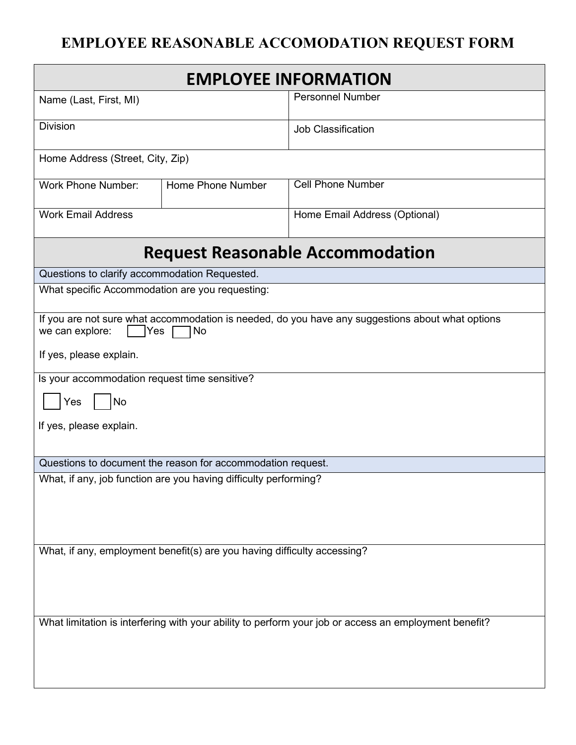## **EMPLOYEE REASONABLE ACCOMODATION REQUEST FORM**

| <b>EMPLOYEE INFORMATION</b>                                                                                                       |                   |                               |  |
|-----------------------------------------------------------------------------------------------------------------------------------|-------------------|-------------------------------|--|
| Name (Last, First, MI)                                                                                                            |                   | <b>Personnel Number</b>       |  |
| <b>Division</b>                                                                                                                   |                   | <b>Job Classification</b>     |  |
| Home Address (Street, City, Zip)                                                                                                  |                   |                               |  |
| <b>Work Phone Number:</b>                                                                                                         | Home Phone Number | <b>Cell Phone Number</b>      |  |
| <b>Work Email Address</b>                                                                                                         |                   | Home Email Address (Optional) |  |
| <b>Request Reasonable Accommodation</b>                                                                                           |                   |                               |  |
| Questions to clarify accommodation Requested.                                                                                     |                   |                               |  |
| What specific Accommodation are you requesting:                                                                                   |                   |                               |  |
| If you are not sure what accommodation is needed, do you have any suggestions about what options<br>we can explore:<br> Yes<br>No |                   |                               |  |
| If yes, please explain.                                                                                                           |                   |                               |  |
| Is your accommodation request time sensitive?                                                                                     |                   |                               |  |
| Yes<br>No                                                                                                                         |                   |                               |  |
| If yes, please explain.                                                                                                           |                   |                               |  |
| Questions to document the reason for accommodation request.                                                                       |                   |                               |  |
| What, if any, job function are you having difficulty performing?                                                                  |                   |                               |  |
|                                                                                                                                   |                   |                               |  |
|                                                                                                                                   |                   |                               |  |
| What, if any, employment benefit(s) are you having difficulty accessing?                                                          |                   |                               |  |
|                                                                                                                                   |                   |                               |  |
|                                                                                                                                   |                   |                               |  |
| What limitation is interfering with your ability to perform your job or access an employment benefit?                             |                   |                               |  |
|                                                                                                                                   |                   |                               |  |
|                                                                                                                                   |                   |                               |  |